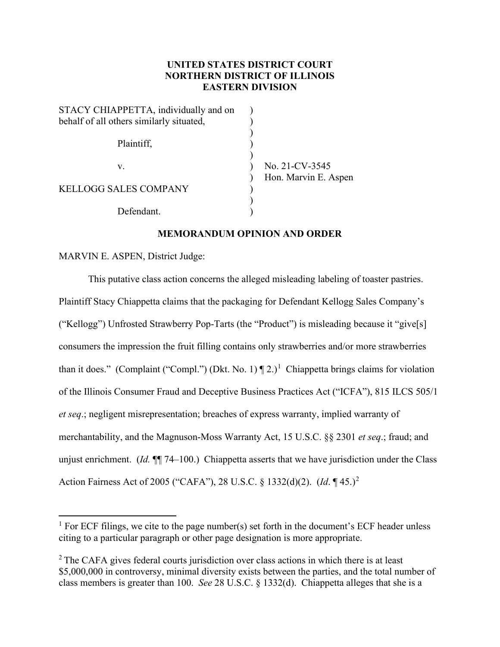# **UNITED STATES DISTRICT COURT NORTHERN DISTRICT OF ILLINOIS EASTERN DIVISION**

| No. 21-CV-3545       |
|----------------------|
| Hon. Marvin E. Aspen |
|                      |
|                      |
|                      |
|                      |

# **MEMORANDUM OPINION AND ORDER**

# MARVIN E. ASPEN, District Judge:

This putative class action concerns the alleged misleading labeling of toaster pastries. Plaintiff Stacy Chiappetta claims that the packaging for Defendant Kellogg Sales Company's ("Kellogg") Unfrosted Strawberry Pop-Tarts (the "Product") is misleading because it "give[s] consumers the impression the fruit filling contains only strawberries and/or more strawberries than it does." (Complaint ("Compl.") (Dkt. No. [1](#page-0-0))  $\P$  2.)<sup>1</sup> Chiappetta brings claims for violation of the Illinois Consumer Fraud and Deceptive Business Practices Act ("ICFA"), 815 ILCS 505/1 *et seq*.; negligent misrepresentation; breaches of express warranty, implied warranty of merchantability, and the Magnuson-Moss Warranty Act, 15 U.S.C. §§ 2301 *et seq*.; fraud; and unjust enrichment. (*Id.* ¶¶ 74–100.) Chiappetta asserts that we have jurisdiction under the Class Action Fairness Act of 2005 ("CAFA"), 28 U.S.C. § 1332(d)(2). (*Id*. ¶ 45.)[2](#page-0-1)

<span id="page-0-0"></span><sup>&</sup>lt;sup>1</sup> For ECF filings, we cite to the page number(s) set forth in the document's ECF header unless citing to a particular paragraph or other page designation is more appropriate.

<span id="page-0-1"></span> $2$  The CAFA gives federal courts jurisdiction over class actions in which there is at least \$5,000,000 in controversy, minimal diversity exists between the parties, and the total number of class members is greater than 100. *See* 28 U.S.C. § 1332(d). Chiappetta alleges that she is a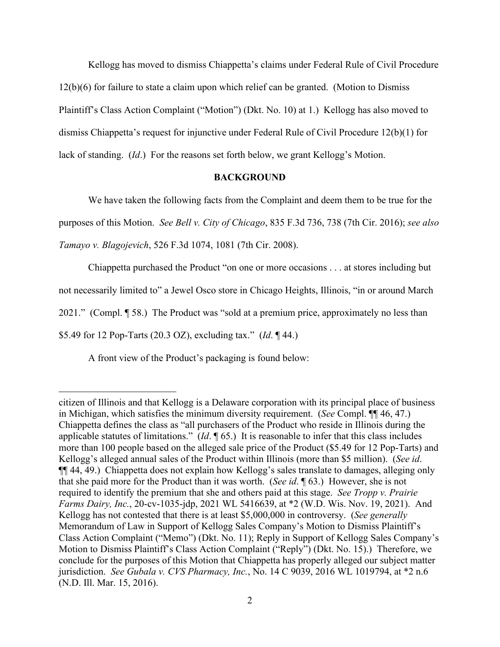Kellogg has moved to dismiss Chiappetta's claims under Federal Rule of Civil Procedure 12(b)(6) for failure to state a claim upon which relief can be granted. (Motion to Dismiss Plaintiff's Class Action Complaint ("Motion") (Dkt. No. 10) at 1.) Kellogg has also moved to dismiss Chiappetta's request for injunctive under Federal Rule of Civil Procedure 12(b)(1) for lack of standing. (*Id*.) For the reasons set forth below, we grant Kellogg's Motion.

### **BACKGROUND**

We have taken the following facts from the Complaint and deem them to be true for the purposes of this Motion. *See Bell v. City of Chicago*, 835 F.3d 736, 738 (7th Cir. 2016); *see also Tamayo v. Blagojevich*, 526 F.3d 1074, 1081 (7th Cir. 2008).

Chiappetta purchased the Product "on one or more occasions . . . at stores including but not necessarily limited to" a Jewel Osco store in Chicago Heights, Illinois, "in or around March 2021." (Compl. ¶ 58.) The Product was "sold at a premium price, approximately no less than \$5.49 for 12 Pop-Tarts (20.3 OZ), excluding tax." (*Id*. ¶ 44.)

A front view of the Product's packaging is found below:

citizen of Illinois and that Kellogg is a Delaware corporation with its principal place of business in Michigan, which satisfies the minimum diversity requirement. (*See* Compl. ¶¶ 46, 47.) Chiappetta defines the class as "all purchasers of the Product who reside in Illinois during the applicable statutes of limitations." (*Id*. ¶ 65.) It is reasonable to infer that this class includes more than 100 people based on the alleged sale price of the Product (\$5.49 for 12 Pop-Tarts) and Kellogg's alleged annual sales of the Product within Illinois (more than \$5 million). (*See id*. ¶¶ 44, 49.) Chiappetta does not explain how Kellogg's sales translate to damages, alleging only that she paid more for the Product than it was worth. (*See id*. ¶ 63.) However, she is not required to identify the premium that she and others paid at this stage. *See Tropp v. Prairie Farms Dairy, Inc.*, 20-cv-1035-jdp, 2021 WL 5416639, at \*2 (W.D. Wis. Nov. 19, 2021). And Kellogg has not contested that there is at least \$5,000,000 in controversy. (*See generally*  Memorandum of Law in Support of Kellogg Sales Company's Motion to Dismiss Plaintiff's Class Action Complaint ("Memo") (Dkt. No. 11); Reply in Support of Kellogg Sales Company's Motion to Dismiss Plaintiff's Class Action Complaint ("Reply") (Dkt. No. 15).) Therefore, we conclude for the purposes of this Motion that Chiappetta has properly alleged our subject matter jurisdiction. *See Gubala v. CVS Pharmacy, Inc.*, No. 14 C 9039, 2016 WL 1019794, at \*2 n.6 (N.D. Ill. Mar. 15, 2016).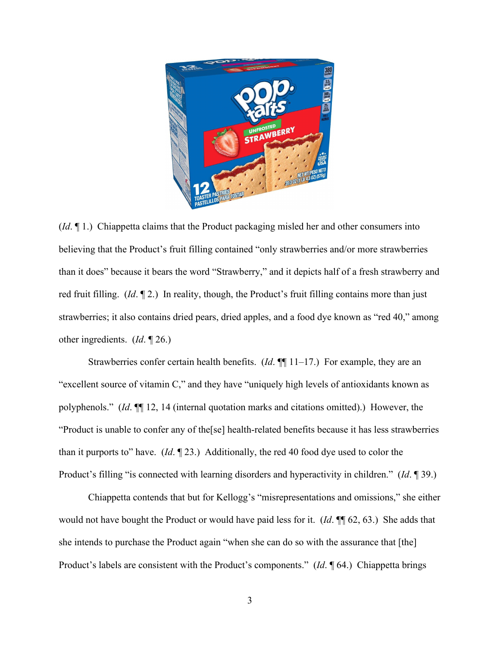

(*Id*. ¶ 1.) Chiappetta claims that the Product packaging misled her and other consumers into believing that the Product's fruit filling contained "only strawberries and/or more strawberries than it does" because it bears the word "Strawberry," and it depicts half of a fresh strawberry and red fruit filling. (*Id*. ¶ 2.) In reality, though, the Product's fruit filling contains more than just strawberries; it also contains dried pears, dried apples, and a food dye known as "red 40," among other ingredients. (*Id*. ¶ 26.)

Strawberries confer certain health benefits. (*Id*. ¶¶ 11–17.) For example, they are an "excellent source of vitamin C," and they have "uniquely high levels of antioxidants known as polyphenols." (*Id*. ¶¶ 12, 14 (internal quotation marks and citations omitted).) However, the "Product is unable to confer any of the[se] health-related benefits because it has less strawberries than it purports to" have. (*Id*. ¶ 23.) Additionally, the red 40 food dye used to color the Product's filling "is connected with learning disorders and hyperactivity in children." (*Id*. ¶ 39.)

Chiappetta contends that but for Kellogg's "misrepresentations and omissions," she either would not have bought the Product or would have paid less for it. (*Id*. ¶¶ 62, 63.) She adds that she intends to purchase the Product again "when she can do so with the assurance that [the] Product's labels are consistent with the Product's components." (*Id*. ¶ 64.) Chiappetta brings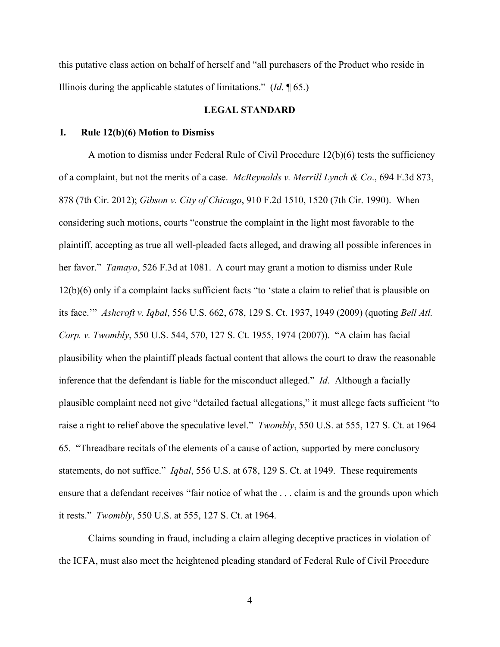this putative class action on behalf of herself and "all purchasers of the Product who reside in Illinois during the applicable statutes of limitations." (*Id*. ¶ 65.)

## **LEGAL STANDARD**

### **I. Rule 12(b)(6) Motion to Dismiss**

A motion to dismiss under Federal Rule of Civil Procedure 12(b)(6) tests the sufficiency of a complaint, but not the merits of a case. *McReynolds v. Merrill Lynch & Co*., 694 F.3d 873, 878 (7th Cir. 2012); *Gibson v. City of Chicago*, 910 F.2d 1510, 1520 (7th Cir. 1990). When considering such motions, courts "construe the complaint in the light most favorable to the plaintiff, accepting as true all well-pleaded facts alleged, and drawing all possible inferences in her favor." *Tamayo*, 526 F.3d at 1081. A court may grant a motion to dismiss under Rule 12(b)(6) only if a complaint lacks sufficient facts "to 'state a claim to relief that is plausible on its face.'" *Ashcroft v. Iqbal*, 556 U.S. 662, 678, 129 S. Ct. 1937, 1949 (2009) (quoting *Bell Atl. Corp. v. Twombly*, 550 U.S. 544, 570, 127 S. Ct. 1955, 1974 (2007)). "A claim has facial plausibility when the plaintiff pleads factual content that allows the court to draw the reasonable inference that the defendant is liable for the misconduct alleged." *Id*. Although a facially plausible complaint need not give "detailed factual allegations," it must allege facts sufficient "to raise a right to relief above the speculative level." *Twombly*, 550 U.S. at 555, 127 S. Ct. at 1964– 65. "Threadbare recitals of the elements of a cause of action, supported by mere conclusory statements, do not suffice." *Iqbal*, 556 U.S. at 678, 129 S. Ct. at 1949. These requirements ensure that a defendant receives "fair notice of what the . . . claim is and the grounds upon which it rests." *Twombly*, 550 U.S. at 555, 127 S. Ct. at 1964.

Claims sounding in fraud, including a claim alleging deceptive practices in violation of the ICFA, must also meet the heightened pleading standard of Federal Rule of Civil Procedure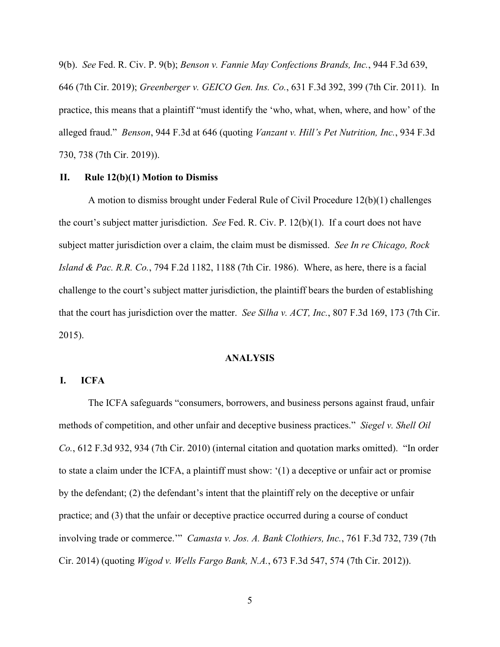9(b). *See* Fed. R. Civ. P. 9(b); *Benson v. Fannie May Confections Brands, Inc.*, 944 F.3d 639, 646 (7th Cir. 2019); *Greenberger v. GEICO Gen. Ins. Co.*, 631 F.3d 392, 399 (7th Cir. 2011). In practice, this means that a plaintiff "must identify the 'who, what, when, where, and how' of the alleged fraud." *Benson*, 944 F.3d at 646 (quoting *Vanzant v. Hill's Pet Nutrition, Inc.*, 934 F.3d 730, 738 (7th Cir. 2019)).

### **II. Rule 12(b)(1) Motion to Dismiss**

A motion to dismiss brought under Federal Rule of Civil Procedure 12(b)(1) challenges the court's subject matter jurisdiction. *See* Fed. R. Civ. P. 12(b)(1). If a court does not have subject matter jurisdiction over a claim, the claim must be dismissed. *See In re Chicago, Rock Island & Pac. R.R. Co.*, 794 F.2d 1182, 1188 (7th Cir. 1986). Where, as here, there is a facial challenge to the court's subject matter jurisdiction, the plaintiff bears the burden of establishing that the court has jurisdiction over the matter. *See Silha v. ACT, Inc.*, 807 F.3d 169, 173 (7th Cir. 2015).

## **ANALYSIS**

## **I. ICFA**

The ICFA safeguards "consumers, borrowers, and business persons against fraud, unfair methods of competition, and other unfair and deceptive business practices." *Siegel v. Shell Oil Co.*, 612 F.3d 932, 934 (7th Cir. 2010) (internal citation and quotation marks omitted). "In order to state a claim under the ICFA, a plaintiff must show: '(1) a deceptive or unfair act or promise by the defendant; (2) the defendant's intent that the plaintiff rely on the deceptive or unfair practice; and (3) that the unfair or deceptive practice occurred during a course of conduct involving trade or commerce.'" *Camasta v. Jos. A. Bank Clothiers, Inc.*, 761 F.3d 732, 739 (7th Cir. 2014) (quoting *Wigod v. Wells Fargo Bank, N.A.*, 673 F.3d 547, 574 (7th Cir. 2012)).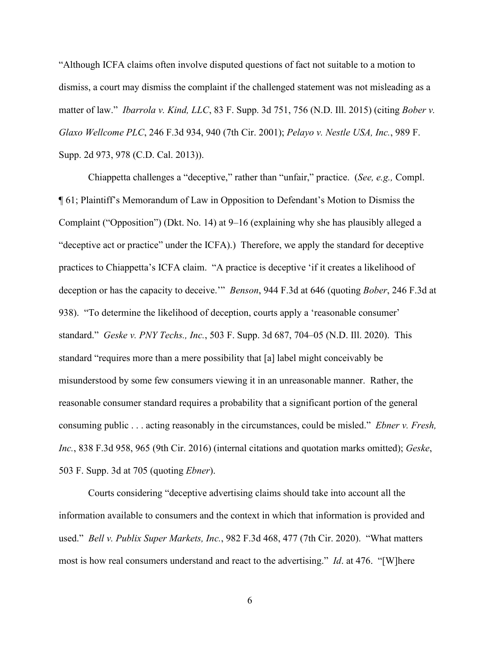"Although ICFA claims often involve disputed questions of fact not suitable to a motion to dismiss, a court may dismiss the complaint if the challenged statement was not misleading as a matter of law." *Ibarrola v. Kind, LLC*, 83 F. Supp. 3d 751, 756 (N.D. Ill. 2015) (citing *Bober v. Glaxo Wellcome PLC*, 246 F.3d 934, 940 (7th Cir. 2001); *Pelayo v. Nestle USA, Inc.*, 989 F. Supp. 2d 973, 978 (C.D. Cal. 2013)).

Chiappetta challenges a "deceptive," rather than "unfair," practice. (*See, e.g.,* Compl. ¶ 61; Plaintiff's Memorandum of Law in Opposition to Defendant's Motion to Dismiss the Complaint ("Opposition") (Dkt. No. 14) at 9–16 (explaining why she has plausibly alleged a "deceptive act or practice" under the ICFA).) Therefore, we apply the standard for deceptive practices to Chiappetta's ICFA claim. "A practice is deceptive 'if it creates a likelihood of deception or has the capacity to deceive.'" *Benson*, 944 F.3d at 646 (quoting *Bober*, 246 F.3d at 938). "To determine the likelihood of deception, courts apply a 'reasonable consumer' standard." *Geske v. PNY Techs., Inc.*, 503 F. Supp. 3d 687, 704–05 (N.D. Ill. 2020). This standard "requires more than a mere possibility that [a] label might conceivably be misunderstood by some few consumers viewing it in an unreasonable manner. Rather, the reasonable consumer standard requires a probability that a significant portion of the general consuming public . . . acting reasonably in the circumstances, could be misled." *Ebner v. Fresh, Inc.*, 838 F.3d 958, 965 (9th Cir. 2016) (internal citations and quotation marks omitted); *Geske*, 503 F. Supp. 3d at 705 (quoting *Ebner*).

Courts considering "deceptive advertising claims should take into account all the information available to consumers and the context in which that information is provided and used." *Bell v. Publix Super Markets, Inc.*, 982 F.3d 468, 477 (7th Cir. 2020). "What matters most is how real consumers understand and react to the advertising." *Id*. at 476. "[W]here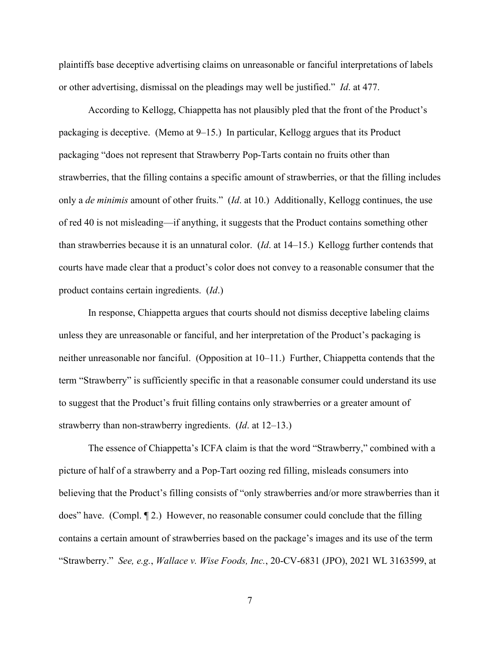plaintiffs base deceptive advertising claims on unreasonable or fanciful interpretations of labels or other advertising, dismissal on the pleadings may well be justified." *Id*. at 477.

According to Kellogg, Chiappetta has not plausibly pled that the front of the Product's packaging is deceptive. (Memo at 9–15.) In particular, Kellogg argues that its Product packaging "does not represent that Strawberry Pop-Tarts contain no fruits other than strawberries, that the filling contains a specific amount of strawberries, or that the filling includes only a *de minimis* amount of other fruits." (*Id*. at 10.) Additionally, Kellogg continues, the use of red 40 is not misleading—if anything, it suggests that the Product contains something other than strawberries because it is an unnatural color. (*Id*. at 14–15.) Kellogg further contends that courts have made clear that a product's color does not convey to a reasonable consumer that the product contains certain ingredients. (*Id*.)

In response, Chiappetta argues that courts should not dismiss deceptive labeling claims unless they are unreasonable or fanciful, and her interpretation of the Product's packaging is neither unreasonable nor fanciful. (Opposition at 10–11.) Further, Chiappetta contends that the term "Strawberry" is sufficiently specific in that a reasonable consumer could understand its use to suggest that the Product's fruit filling contains only strawberries or a greater amount of strawberry than non-strawberry ingredients. (*Id*. at 12–13.)

The essence of Chiappetta's ICFA claim is that the word "Strawberry," combined with a picture of half of a strawberry and a Pop-Tart oozing red filling, misleads consumers into believing that the Product's filling consists of "only strawberries and/or more strawberries than it does" have. (Compl. ¶ 2.) However, no reasonable consumer could conclude that the filling contains a certain amount of strawberries based on the package's images and its use of the term "Strawberry." *See, e.g.*, *Wallace v. Wise Foods, Inc.*, 20-CV-6831 (JPO), 2021 WL 3163599, at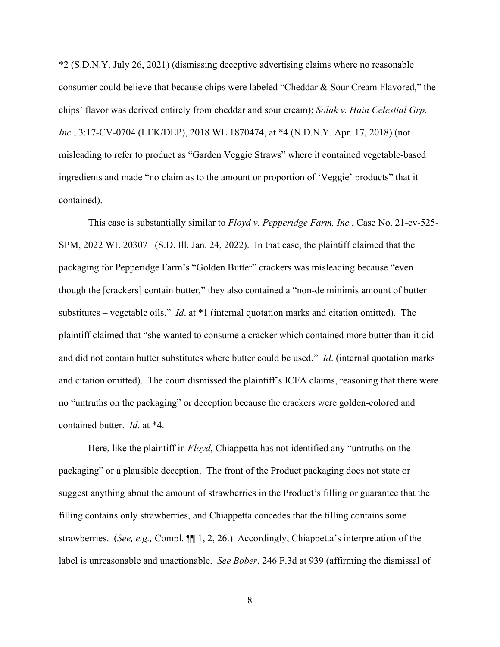\*2 (S.D.N.Y. July 26, 2021) (dismissing deceptive advertising claims where no reasonable consumer could believe that because chips were labeled "Cheddar & Sour Cream Flavored," the chips' flavor was derived entirely from cheddar and sour cream); *Solak v. Hain Celestial Grp., Inc.*, 3:17-CV-0704 (LEK/DEP), 2018 WL 1870474, at \*4 (N.D.N.Y. Apr. 17, 2018) (not misleading to refer to product as "Garden Veggie Straws" where it contained vegetable-based ingredients and made "no claim as to the amount or proportion of 'Veggie' products" that it contained).

This case is substantially similar to *Floyd v. Pepperidge Farm, Inc.*, Case No. 21-cv-525- SPM, 2022 WL 203071 (S.D. Ill. Jan. 24, 2022). In that case, the plaintiff claimed that the packaging for Pepperidge Farm's "Golden Butter" crackers was misleading because "even though the [crackers] contain butter," they also contained a "non-de minimis amount of butter substitutes – vegetable oils." *Id*. at \*1 (internal quotation marks and citation omitted). The plaintiff claimed that "she wanted to consume a cracker which contained more butter than it did and did not contain butter substitutes where butter could be used." *Id*. (internal quotation marks and citation omitted). The court dismissed the plaintiff's ICFA claims, reasoning that there were no "untruths on the packaging" or deception because the crackers were golden-colored and contained butter. *Id*. at \*4.

Here, like the plaintiff in *Floyd*, Chiappetta has not identified any "untruths on the packaging" or a plausible deception. The front of the Product packaging does not state or suggest anything about the amount of strawberries in the Product's filling or guarantee that the filling contains only strawberries, and Chiappetta concedes that the filling contains some strawberries. (*See, e.g.,* Compl. ¶¶ 1, 2, 26.) Accordingly, Chiappetta's interpretation of the label is unreasonable and unactionable. *See Bober*, 246 F.3d at 939 (affirming the dismissal of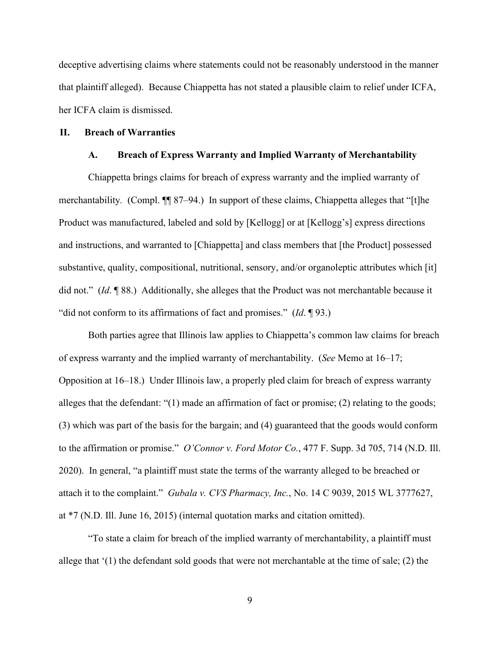deceptive advertising claims where statements could not be reasonably understood in the manner that plaintiff alleged). Because Chiappetta has not stated a plausible claim to relief under ICFA, her ICFA claim is dismissed.

#### **II. Breach of Warranties**

### **A. Breach of Express Warranty and Implied Warranty of Merchantability**

Chiappetta brings claims for breach of express warranty and the implied warranty of merchantability*.* (Compl. ¶¶ 87–94.) In support of these claims, Chiappetta alleges that "[t]he Product was manufactured, labeled and sold by [Kellogg] or at [Kellogg's] express directions and instructions, and warranted to [Chiappetta] and class members that [the Product] possessed substantive, quality, compositional, nutritional, sensory, and/or organoleptic attributes which [it] did not." (*Id*. ¶ 88.) Additionally, she alleges that the Product was not merchantable because it "did not conform to its affirmations of fact and promises." (*Id*. ¶ 93.)

Both parties agree that Illinois law applies to Chiappetta's common law claims for breach of express warranty and the implied warranty of merchantability. (*See* Memo at 16–17; Opposition at 16–18.) Under Illinois law, a properly pled claim for breach of express warranty alleges that the defendant: "(1) made an affirmation of fact or promise; (2) relating to the goods; (3) which was part of the basis for the bargain; and (4) guaranteed that the goods would conform to the affirmation or promise." *O'Connor v. Ford Motor Co.*, 477 F. Supp. 3d 705, 714 (N.D. Ill. 2020). In general, "a plaintiff must state the terms of the warranty alleged to be breached or attach it to the complaint." *Gubala v. CVS Pharmacy, Inc.*, No. 14 C 9039, 2015 WL 3777627, at \*7 (N.D. Ill. June 16, 2015) (internal quotation marks and citation omitted).

"To state a claim for breach of the implied warranty of merchantability, a plaintiff must allege that '(1) the defendant sold goods that were not merchantable at the time of sale; (2) the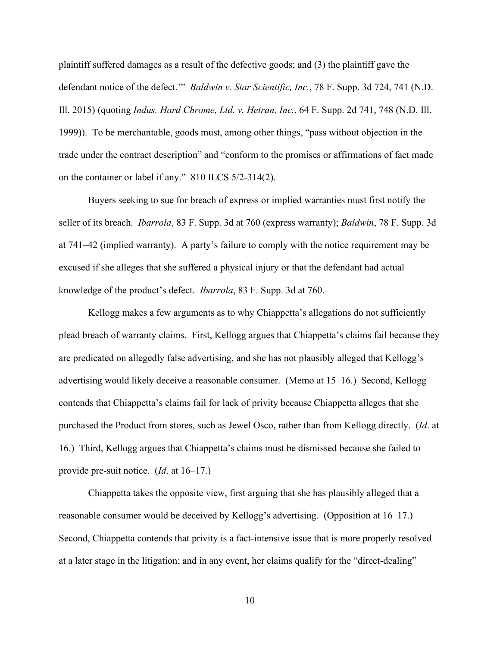plaintiff suffered damages as a result of the defective goods; and (3) the plaintiff gave the defendant notice of the defect.'" *Baldwin v. Star Scientific, Inc.*, 78 F. Supp. 3d 724, 741 (N.D. Ill. 2015) (quoting *Indus. Hard Chrome, Ltd. v. Hetran, Inc.*, 64 F. Supp. 2d 741, 748 (N.D. Ill. 1999)). To be merchantable, goods must, among other things, "pass without objection in the trade under the contract description" and "conform to the promises or affirmations of fact made on the container or label if any." 810 ILCS 5/2-314(2).

Buyers seeking to sue for breach of express or implied warranties must first notify the seller of its breach. *Ibarrola*, 83 F. Supp. 3d at 760 (express warranty); *Baldwin*, 78 F. Supp. 3d at 741–42 (implied warranty). A party's failure to comply with the notice requirement may be excused if she alleges that she suffered a physical injury or that the defendant had actual knowledge of the product's defect. *Ibarrola*, 83 F. Supp. 3d at 760.

Kellogg makes a few arguments as to why Chiappetta's allegations do not sufficiently plead breach of warranty claims. First, Kellogg argues that Chiappetta's claims fail because they are predicated on allegedly false advertising, and she has not plausibly alleged that Kellogg's advertising would likely deceive a reasonable consumer. (Memo at 15–16.) Second, Kellogg contends that Chiappetta's claims fail for lack of privity because Chiappetta alleges that she purchased the Product from stores, such as Jewel Osco, rather than from Kellogg directly. (*Id*. at 16.) Third, Kellogg argues that Chiappetta's claims must be dismissed because she failed to provide pre-suit notice. (*Id*. at 16–17.)

Chiappetta takes the opposite view, first arguing that she has plausibly alleged that a reasonable consumer would be deceived by Kellogg's advertising. (Opposition at 16–17.) Second, Chiappetta contends that privity is a fact-intensive issue that is more properly resolved at a later stage in the litigation; and in any event, her claims qualify for the "direct-dealing"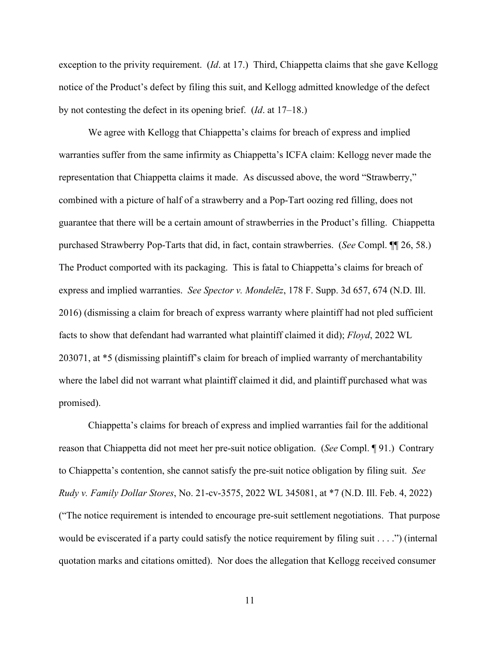exception to the privity requirement. (*Id*. at 17.) Third, Chiappetta claims that she gave Kellogg notice of the Product's defect by filing this suit, and Kellogg admitted knowledge of the defect by not contesting the defect in its opening brief. (*Id*. at 17–18.)

We agree with Kellogg that Chiappetta's claims for breach of express and implied warranties suffer from the same infirmity as Chiappetta's ICFA claim: Kellogg never made the representation that Chiappetta claims it made. As discussed above, the word "Strawberry," combined with a picture of half of a strawberry and a Pop-Tart oozing red filling, does not guarantee that there will be a certain amount of strawberries in the Product's filling. Chiappetta purchased Strawberry Pop-Tarts that did, in fact, contain strawberries. (*See* Compl. ¶¶ 26, 58.) The Product comported with its packaging. This is fatal to Chiappetta's claims for breach of express and implied warranties. *See Spector v. Mondelēz*, 178 F. Supp. 3d 657, 674 (N.D. Ill. 2016) (dismissing a claim for breach of express warranty where plaintiff had not pled sufficient facts to show that defendant had warranted what plaintiff claimed it did); *Floyd*, 2022 WL 203071, at \*5 (dismissing plaintiff's claim for breach of implied warranty of merchantability where the label did not warrant what plaintiff claimed it did, and plaintiff purchased what was promised).

Chiappetta's claims for breach of express and implied warranties fail for the additional reason that Chiappetta did not meet her pre-suit notice obligation. (*See* Compl. ¶ 91.) Contrary to Chiappetta's contention, she cannot satisfy the pre-suit notice obligation by filing suit. *See Rudy v. Family Dollar Stores*, No. 21-cv-3575, 2022 WL 345081, at \*7 (N.D. Ill. Feb. 4, 2022) ("The notice requirement is intended to encourage pre-suit settlement negotiations. That purpose would be eviscerated if a party could satisfy the notice requirement by filing suit . . . .") (internal quotation marks and citations omitted). Nor does the allegation that Kellogg received consumer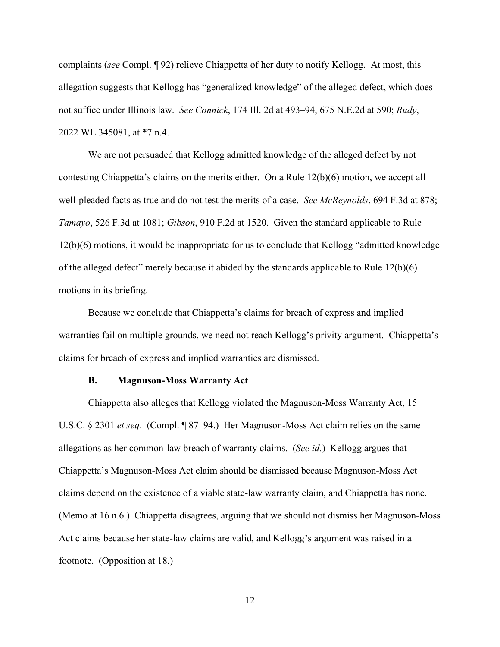complaints (*see* Compl. ¶ 92) relieve Chiappetta of her duty to notify Kellogg. At most, this allegation suggests that Kellogg has "generalized knowledge" of the alleged defect, which does not suffice under Illinois law. *See Connick*, 174 Ill. 2d at 493–94, 675 N.E.2d at 590; *Rudy*, 2022 WL 345081, at \*7 n.4.

We are not persuaded that Kellogg admitted knowledge of the alleged defect by not contesting Chiappetta's claims on the merits either. On a Rule 12(b)(6) motion, we accept all well-pleaded facts as true and do not test the merits of a case. *See McReynolds*, 694 F.3d at 878; *Tamayo*, 526 F.3d at 1081; *Gibson*, 910 F.2d at 1520. Given the standard applicable to Rule 12(b)(6) motions, it would be inappropriate for us to conclude that Kellogg "admitted knowledge of the alleged defect" merely because it abided by the standards applicable to Rule 12(b)(6) motions in its briefing.

Because we conclude that Chiappetta's claims for breach of express and implied warranties fail on multiple grounds, we need not reach Kellogg's privity argument. Chiappetta's claims for breach of express and implied warranties are dismissed.

#### **B. Magnuson-Moss Warranty Act**

Chiappetta also alleges that Kellogg violated the Magnuson-Moss Warranty Act, 15 U.S.C. § 2301 *et seq*. (Compl. ¶ 87–94.) Her Magnuson-Moss Act claim relies on the same allegations as her common-law breach of warranty claims. (*See id.*) Kellogg argues that Chiappetta's Magnuson-Moss Act claim should be dismissed because Magnuson-Moss Act claims depend on the existence of a viable state-law warranty claim, and Chiappetta has none. (Memo at 16 n.6.) Chiappetta disagrees, arguing that we should not dismiss her Magnuson-Moss Act claims because her state-law claims are valid, and Kellogg's argument was raised in a footnote. (Opposition at 18.)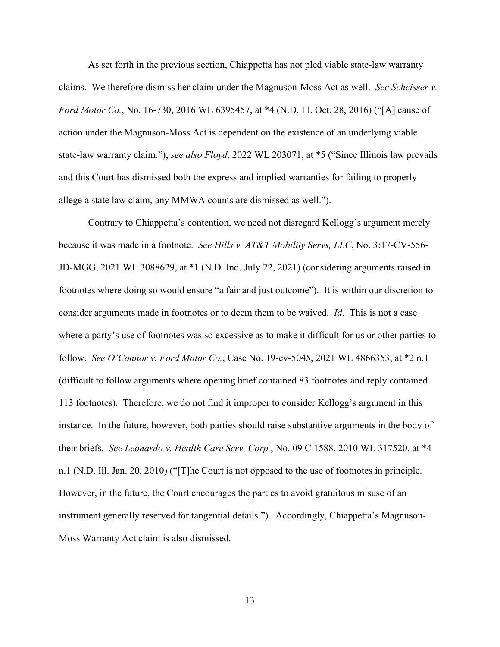As set forth in the previous section, Chiappetta has not pled viable state-law warranty claims. We therefore dismiss her claim under the Magnuson-Moss Act as well. *See Scheisser v. Ford Motor Co.*, No. 16-730, 2016 WL 6395457, at \*4 (N.D. Ill. Oct. 28, 2016) ("[A] cause of action under the Magnuson-Moss Act is dependent on the existence of an underlying viable state-law warranty claim."); *see also Floyd*, 2022 WL 203071, at \*5 ("Since Illinois law prevails and this Court has dismissed both the express and implied warranties for failing to properly allege a state law claim, any MMWA counts are dismissed as well.").

Contrary to Chiappetta's contention, we need not disregard Kellogg's argument merely because it was made in a footnote. *See Hills v. AT&T Mobility Servs, LLC*, No. 3:17-CV-556- JD-MGG, 2021 WL 3088629, at \*1 (N.D. Ind. July 22, 2021) (considering arguments raised in footnotes where doing so would ensure "a fair and just outcome"). It is within our discretion to consider arguments made in footnotes or to deem them to be waived. *Id*. This is not a case where a party's use of footnotes was so excessive as to make it difficult for us or other parties to follow. *See O'Connor v. Ford Motor Co.*, Case No. 19-cv-5045, 2021 WL 4866353, at \*2 n.1 (difficult to follow arguments where opening brief contained 83 footnotes and reply contained 113 footnotes). Therefore, we do not find it improper to consider Kellogg's argument in this instance. In the future, however, both parties should raise substantive arguments in the body of their briefs. *See Leonardo v. Health Care Serv. Corp.*, No. 09 C 1588, 2010 WL 317520, at \*4 n.1 (N.D. Ill. Jan. 20, 2010) ("[T]he Court is not opposed to the use of footnotes in principle. However, in the future, the Court encourages the parties to avoid gratuitous misuse of an instrument generally reserved for tangential details."). Accordingly, Chiappetta's Magnuson-Moss Warranty Act claim is also dismissed.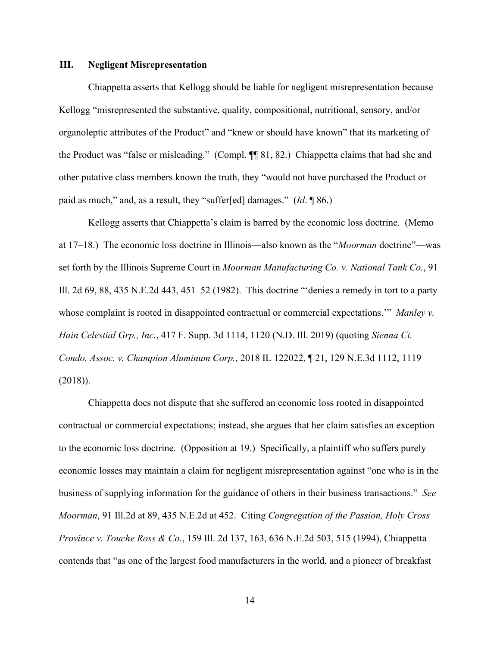### **III. Negligent Misrepresentation**

Chiappetta asserts that Kellogg should be liable for negligent misrepresentation because Kellogg "misrepresented the substantive, quality, compositional, nutritional, sensory, and/or organoleptic attributes of the Product" and "knew or should have known" that its marketing of the Product was "false or misleading." (Compl. ¶¶ 81, 82.) Chiappetta claims that had she and other putative class members known the truth, they "would not have purchased the Product or paid as much," and, as a result, they "suffer[ed] damages." (*Id*. ¶ 86.)

Kellogg asserts that Chiappetta's claim is barred by the economic loss doctrine. (Memo at 17–18.) The economic loss doctrine in Illinois—also known as the "*Moorman* doctrine"—was set forth by the Illinois Supreme Court in *Moorman Manufacturing Co. v. National Tank Co.*, 91 Ill. 2d 69, 88, 435 N.E.2d 443, 451–52 (1982). This doctrine "'denies a remedy in tort to a party whose complaint is rooted in disappointed contractual or commercial expectations." *Manley v. Hain Celestial Grp., Inc.*, 417 F. Supp. 3d 1114, 1120 (N.D. Ill. 2019) (quoting *Sienna Ct. Condo. Assoc. v. Champion Aluminum Corp.*, 2018 IL 122022, ¶ 21, 129 N.E.3d 1112, 1119 (2018)).

Chiappetta does not dispute that she suffered an economic loss rooted in disappointed contractual or commercial expectations; instead, she argues that her claim satisfies an exception to the economic loss doctrine. (Opposition at 19.) Specifically, a plaintiff who suffers purely economic losses may maintain a claim for negligent misrepresentation against "one who is in the business of supplying information for the guidance of others in their business transactions." *See Moorman*, 91 Ill.2d at 89, 435 N.E.2d at 452. Citing *Congregation of the Passion, Holy Cross Province v. Touche Ross & Co.*, 159 Ill. 2d 137, 163, 636 N.E.2d 503, 515 (1994), Chiappetta contends that "as one of the largest food manufacturers in the world, and a pioneer of breakfast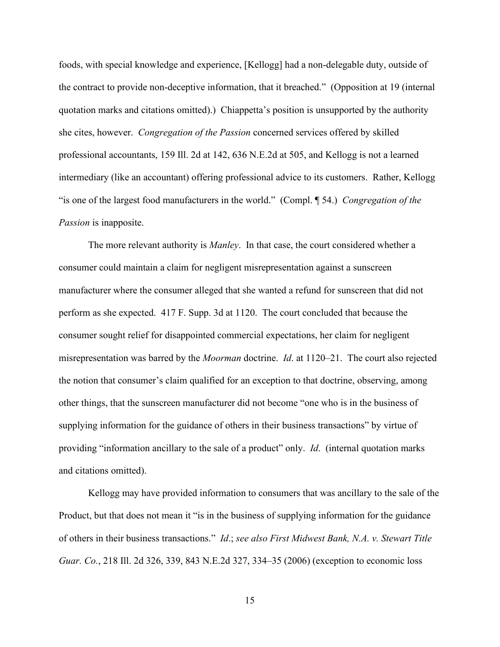foods, with special knowledge and experience, [Kellogg] had a non-delegable duty, outside of the contract to provide non-deceptive information, that it breached." (Opposition at 19 (internal quotation marks and citations omitted).) Chiappetta's position is unsupported by the authority she cites, however. *Congregation of the Passion* concerned services offered by skilled professional accountants, 159 Ill. 2d at 142, 636 N.E.2d at 505, and Kellogg is not a learned intermediary (like an accountant) offering professional advice to its customers. Rather, Kellogg "is one of the largest food manufacturers in the world." (Compl. ¶ 54.) *Congregation of the Passion* is inapposite.

The more relevant authority is *Manley*. In that case, the court considered whether a consumer could maintain a claim for negligent misrepresentation against a sunscreen manufacturer where the consumer alleged that she wanted a refund for sunscreen that did not perform as she expected. 417 F. Supp. 3d at 1120. The court concluded that because the consumer sought relief for disappointed commercial expectations, her claim for negligent misrepresentation was barred by the *Moorman* doctrine. *Id*. at 1120–21. The court also rejected the notion that consumer's claim qualified for an exception to that doctrine, observing, among other things, that the sunscreen manufacturer did not become "one who is in the business of supplying information for the guidance of others in their business transactions" by virtue of providing "information ancillary to the sale of a product" only. *Id*. (internal quotation marks and citations omitted).

Kellogg may have provided information to consumers that was ancillary to the sale of the Product, but that does not mean it "is in the business of supplying information for the guidance of others in their business transactions." *Id*.; *see also First Midwest Bank, N.A. v. Stewart Title Guar. Co.*, 218 Ill. 2d 326, 339, 843 N.E.2d 327, 334–35 (2006) (exception to economic loss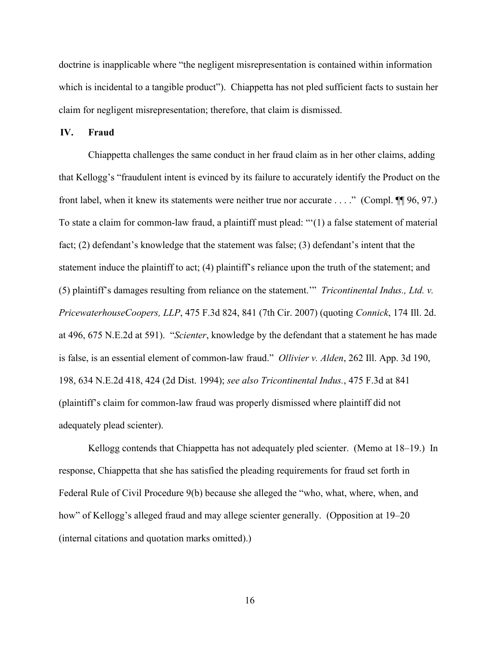doctrine is inapplicable where "the negligent misrepresentation is contained within information which is incidental to a tangible product"). Chiappetta has not pled sufficient facts to sustain her claim for negligent misrepresentation; therefore, that claim is dismissed.

**IV. Fraud**

Chiappetta challenges the same conduct in her fraud claim as in her other claims, adding that Kellogg's "fraudulent intent is evinced by its failure to accurately identify the Product on the front label, when it knew its statements were neither true nor accurate . . . ." (Compl. ¶¶ 96, 97.) To state a claim for common-law fraud, a plaintiff must plead: "'(1) a false statement of material fact; (2) defendant's knowledge that the statement was false; (3) defendant's intent that the statement induce the plaintiff to act; (4) plaintiff's reliance upon the truth of the statement; and (5) plaintiff's damages resulting from reliance on the statement.'" *Tricontinental Indus., Ltd. v. PricewaterhouseCoopers, LLP*, 475 F.3d 824, 841 (7th Cir. 2007) (quoting *Connick*, 174 Ill. 2d. at 496, 675 N.E.2d at 591). "*Scienter*, knowledge by the defendant that a statement he has made is false, is an essential element of common-law fraud." *Ollivier v. Alden*, 262 Ill. App. 3d 190, 198, 634 N.E.2d 418, 424 (2d Dist. 1994); *see also Tricontinental Indus.*, 475 F.3d at 841 (plaintiff's claim for common-law fraud was properly dismissed where plaintiff did not adequately plead scienter).

Kellogg contends that Chiappetta has not adequately pled scienter. (Memo at 18–19.) In response, Chiappetta that she has satisfied the pleading requirements for fraud set forth in Federal Rule of Civil Procedure 9(b) because she alleged the "who, what, where, when, and how" of Kellogg's alleged fraud and may allege scienter generally. (Opposition at 19–20 (internal citations and quotation marks omitted).)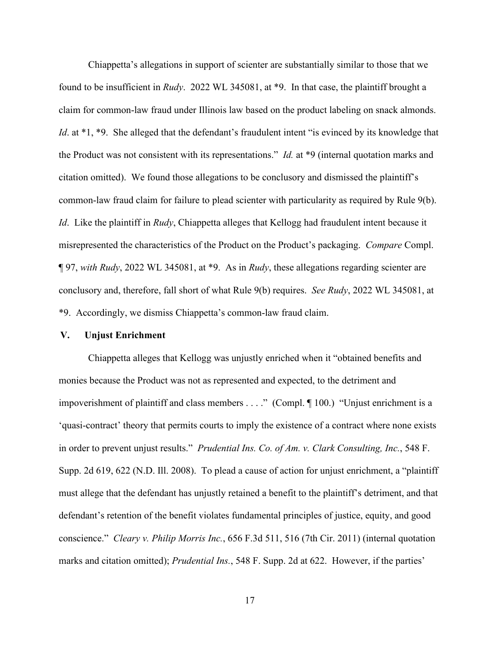Chiappetta's allegations in support of scienter are substantially similar to those that we found to be insufficient in *Rudy*. 2022 WL 345081, at \*9. In that case, the plaintiff brought a claim for common-law fraud under Illinois law based on the product labeling on snack almonds. *Id.* at \*1, \*9. She alleged that the defendant's fraudulent intent "is evinced by its knowledge that the Product was not consistent with its representations." *Id.* at \*9 (internal quotation marks and citation omitted). We found those allegations to be conclusory and dismissed the plaintiff's common-law fraud claim for failure to plead scienter with particularity as required by Rule 9(b). *Id*. Like the plaintiff in *Rudy*, Chiappetta alleges that Kellogg had fraudulent intent because it misrepresented the characteristics of the Product on the Product's packaging. *Compare* Compl. ¶ 97, *with Rudy*, 2022 WL 345081, at \*9. As in *Rudy*, these allegations regarding scienter are conclusory and, therefore, fall short of what Rule 9(b) requires. *See Rudy*, 2022 WL 345081, at \*9. Accordingly, we dismiss Chiappetta's common-law fraud claim.

#### **V. Unjust Enrichment**

Chiappetta alleges that Kellogg was unjustly enriched when it "obtained benefits and monies because the Product was not as represented and expected, to the detriment and impoverishment of plaintiff and class members . . . ." (Compl. ¶ 100.) "Unjust enrichment is a 'quasi-contract' theory that permits courts to imply the existence of a contract where none exists in order to prevent unjust results." *Prudential Ins. Co. of Am. v. Clark Consulting, Inc.*, 548 F. Supp. 2d 619, 622 (N.D. Ill. 2008). To plead a cause of action for unjust enrichment, a "plaintiff must allege that the defendant has unjustly retained a benefit to the plaintiff's detriment, and that defendant's retention of the benefit violates fundamental principles of justice, equity, and good conscience." *Cleary v. Philip Morris Inc.*, 656 F.3d 511, 516 (7th Cir. 2011) (internal quotation marks and citation omitted); *Prudential Ins.*, 548 F. Supp. 2d at 622. However, if the parties'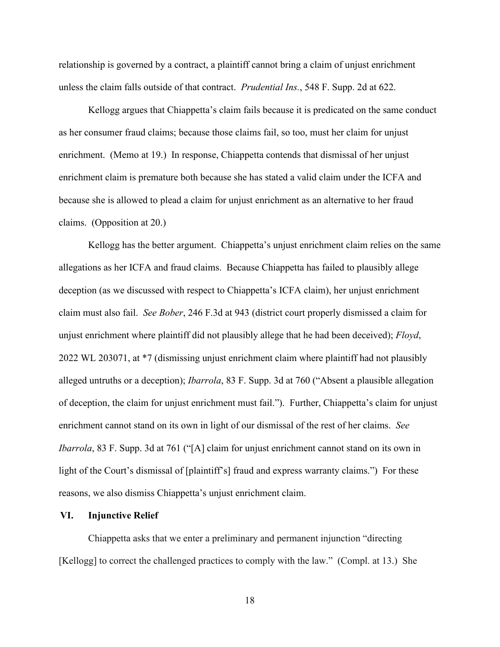relationship is governed by a contract, a plaintiff cannot bring a claim of unjust enrichment unless the claim falls outside of that contract. *Prudential Ins.*, 548 F. Supp. 2d at 622.

Kellogg argues that Chiappetta's claim fails because it is predicated on the same conduct as her consumer fraud claims; because those claims fail, so too, must her claim for unjust enrichment. (Memo at 19.) In response, Chiappetta contends that dismissal of her unjust enrichment claim is premature both because she has stated a valid claim under the ICFA and because she is allowed to plead a claim for unjust enrichment as an alternative to her fraud claims. (Opposition at 20.)

Kellogg has the better argument. Chiappetta's unjust enrichment claim relies on the same allegations as her ICFA and fraud claims. Because Chiappetta has failed to plausibly allege deception (as we discussed with respect to Chiappetta's ICFA claim), her unjust enrichment claim must also fail. *See Bober*, 246 F.3d at 943 (district court properly dismissed a claim for unjust enrichment where plaintiff did not plausibly allege that he had been deceived); *Floyd*, 2022 WL 203071, at \*7 (dismissing unjust enrichment claim where plaintiff had not plausibly alleged untruths or a deception); *Ibarrola*, 83 F. Supp. 3d at 760 ("Absent a plausible allegation of deception, the claim for unjust enrichment must fail."). Further, Chiappetta's claim for unjust enrichment cannot stand on its own in light of our dismissal of the rest of her claims. *See Ibarrola*, 83 F. Supp. 3d at 761 ("[A] claim for unjust enrichment cannot stand on its own in light of the Court's dismissal of [plaintiff's] fraud and express warranty claims.") For these reasons, we also dismiss Chiappetta's unjust enrichment claim.

#### **VI. Injunctive Relief**

Chiappetta asks that we enter a preliminary and permanent injunction "directing [Kellogg] to correct the challenged practices to comply with the law." (Compl. at 13.) She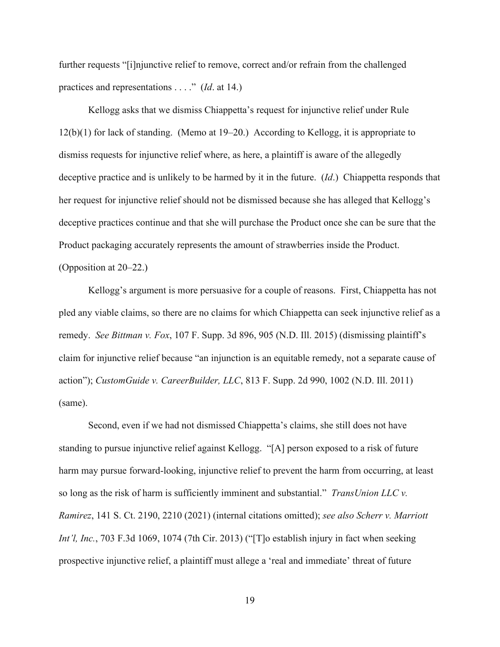further requests "[i]njunctive relief to remove, correct and/or refrain from the challenged practices and representations . . . ." (*Id*. at 14.)

Kellogg asks that we dismiss Chiappetta's request for injunctive relief under Rule 12(b)(1) for lack of standing. (Memo at 19–20.) According to Kellogg, it is appropriate to dismiss requests for injunctive relief where, as here, a plaintiff is aware of the allegedly deceptive practice and is unlikely to be harmed by it in the future. (*Id*.) Chiappetta responds that her request for injunctive relief should not be dismissed because she has alleged that Kellogg's deceptive practices continue and that she will purchase the Product once she can be sure that the Product packaging accurately represents the amount of strawberries inside the Product. (Opposition at 20–22.)

Kellogg's argument is more persuasive for a couple of reasons. First, Chiappetta has not pled any viable claims, so there are no claims for which Chiappetta can seek injunctive relief as a remedy. *See Bittman v. Fox*, 107 F. Supp. 3d 896, 905 (N.D. Ill. 2015) (dismissing plaintiff's claim for injunctive relief because "an injunction is an equitable remedy, not a separate cause of action"); *CustomGuide v. CareerBuilder, LLC*, 813 F. Supp. 2d 990, 1002 (N.D. Ill. 2011) (same).

Second, even if we had not dismissed Chiappetta's claims, she still does not have standing to pursue injunctive relief against Kellogg. "[A] person exposed to a risk of future harm may pursue forward-looking, injunctive relief to prevent the harm from occurring, at least so long as the risk of harm is sufficiently imminent and substantial." *TransUnion LLC v. Ramirez*, 141 S. Ct. 2190, 2210 (2021) (internal citations omitted); *see also Scherr v. Marriott Int'l, Inc.*, 703 F.3d 1069, 1074 (7th Cir. 2013) ("The establish injury in fact when seeking prospective injunctive relief, a plaintiff must allege a 'real and immediate' threat of future